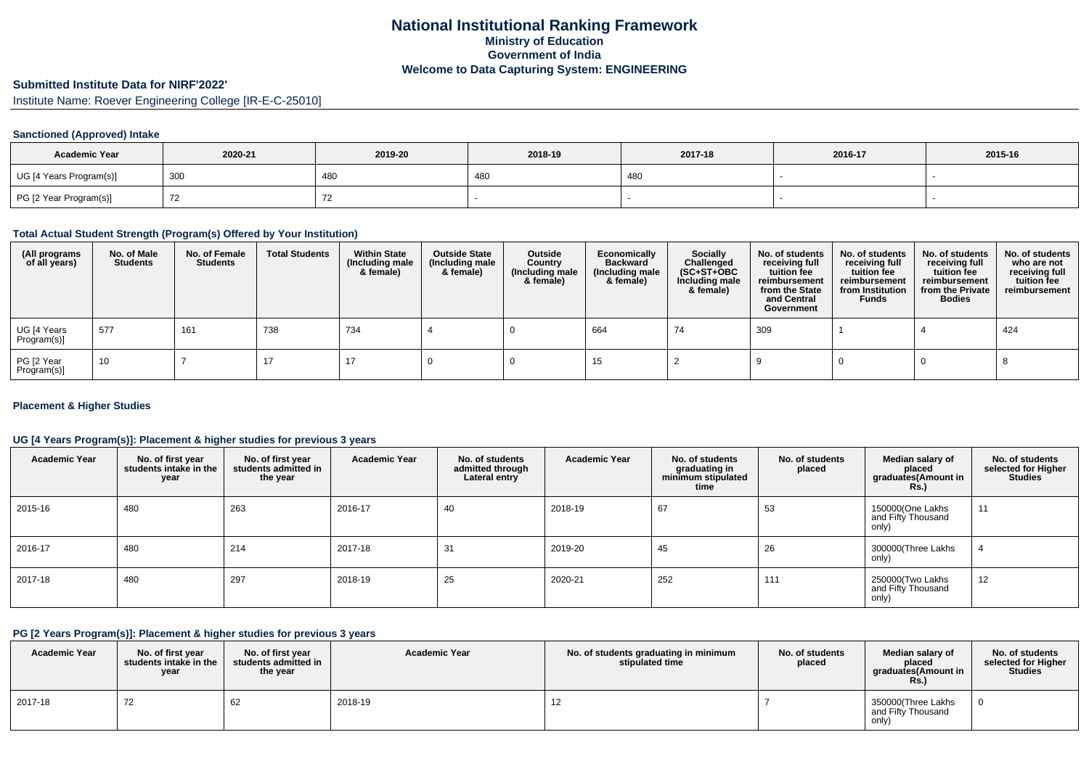# **National Institutional Ranking FrameworkMinistry of Education Government of IndiaWelcome to Data Capturing System: ENGINEERING**

# **Submitted Institute Data for NIRF'2022'**

Institute Name: Roever Engineering College [IR-E-C-25010]

# **Sanctioned (Approved) Intake**

| <b>Academic Year</b>    | 2020-21 | 2019-20 | 2018-19 | 2017-18 | 2016-17 | 2015-16 |
|-------------------------|---------|---------|---------|---------|---------|---------|
| UG [4 Years Program(s)] | 300     | 480     | 480     | 480     |         |         |
| PG [2 Year Program(s)]  |         |         |         |         |         |         |

#### **Total Actual Student Strength (Program(s) Offered by Your Institution)**

| (All programs<br>of all years) | No. of Male<br><b>Students</b> | No. of Female<br>Students | <b>Total Students</b> | <b>Within State</b><br>(Including male<br>& female) | <b>Outside State</b><br>(Including male<br>& female) | Outside<br>Country<br>(Including male<br>& female) | Economically<br><b>Backward</b><br>(Including male<br>& female) | <b>Socially</b><br>Challenged<br>$(SC+ST+OBC)$<br>Including male<br>& female) | No. of students<br>receiving full<br>tuition fee<br>reimbursement<br>from the State<br>and Central<br>Government | No. of students<br>receiving full<br>tuition fee<br>reimbursement<br>from Institution<br><b>Funds</b> | No. of students<br>receiving full<br>tuition fee<br>reimbursement<br>from the Private<br><b>Bodies</b> | No. of students<br>who are not<br>receiving full<br>tuition fee<br>reimbursement |
|--------------------------------|--------------------------------|---------------------------|-----------------------|-----------------------------------------------------|------------------------------------------------------|----------------------------------------------------|-----------------------------------------------------------------|-------------------------------------------------------------------------------|------------------------------------------------------------------------------------------------------------------|-------------------------------------------------------------------------------------------------------|--------------------------------------------------------------------------------------------------------|----------------------------------------------------------------------------------|
| UG [4 Years<br>Program(s)]     | 577                            | 161                       | 738                   | 734                                                 |                                                      |                                                    | 664                                                             | 74                                                                            | 309                                                                                                              |                                                                                                       |                                                                                                        | 424                                                                              |
| PG [2 Year<br>Program(s)]      | 10                             |                           | 17                    | 17                                                  |                                                      |                                                    | 15                                                              |                                                                               |                                                                                                                  |                                                                                                       |                                                                                                        |                                                                                  |

#### **Placement & Higher Studies**

### **UG [4 Years Program(s)]: Placement & higher studies for previous 3 years**

| <b>Academic Year</b> | No. of first year<br>students intake in the<br>year | No. of first year<br>students admitted in<br>the year | <b>Academic Year</b> | No. of students<br>admitted through<br>Lateral entry | <b>Academic Year</b> | No. of students<br>graduating in<br>minimum stipulated<br>time | No. of students<br>placed | Median salary of<br>placed<br>graduates(Amount in<br><b>Rs.)</b> | No. of students<br>selected for Higher<br><b>Studies</b> |
|----------------------|-----------------------------------------------------|-------------------------------------------------------|----------------------|------------------------------------------------------|----------------------|----------------------------------------------------------------|---------------------------|------------------------------------------------------------------|----------------------------------------------------------|
| 2015-16              | 480                                                 | 263                                                   | 2016-17              | 40                                                   | 2018-19              | 67                                                             | 53                        | 150000(One Lakhs<br>and Fifty Thousand<br>only)                  | 11                                                       |
| 2016-17              | 480                                                 | 214                                                   | 2017-18              | 31                                                   | 2019-20              | 45                                                             | 26                        | 300000(Three Lakhs<br>only)                                      |                                                          |
| 2017-18              | 480                                                 | 297                                                   | 2018-19              | 25                                                   | 2020-21              | 252                                                            | 111                       | 250000(Two Lakhs<br>and Fifty Thousand<br>only)                  | 12                                                       |

#### **PG [2 Years Program(s)]: Placement & higher studies for previous 3 years**

| <b>Academic Year</b> | No. of first vear<br>students intake in the<br>year | No. of first vear<br>students admitted in<br>the year | <b>Academic Year</b> | No. of students graduating in minimum<br>stipulated time | No. of students<br>placed | Median salary of<br>placed<br>graduates(Amount in<br>Rs. | No. of students<br>selected for Higher<br><b>Studies</b> |
|----------------------|-----------------------------------------------------|-------------------------------------------------------|----------------------|----------------------------------------------------------|---------------------------|----------------------------------------------------------|----------------------------------------------------------|
| 2017-18              | $\overline{\phantom{a}}$<br>72                      | b2                                                    | 2018-19              | 12                                                       |                           | 350000(Three Lakhs<br>and Fifty Thousand<br>only)        |                                                          |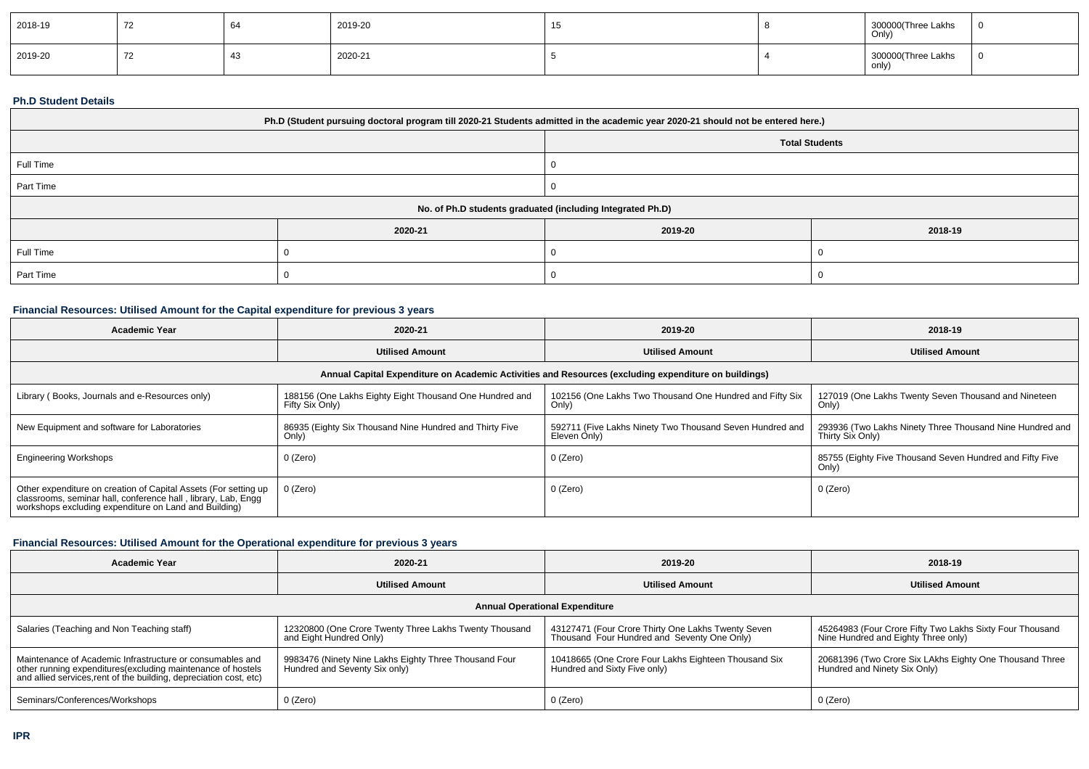| 2018-19 |            | O4 | 2019-20 | ں ا | 300000(Three Lakhs<br>  Only) |  |
|---------|------------|----|---------|-----|-------------------------------|--|
| 2019-20 | . <u>.</u> |    | 2020-21 |     | 300000(Three Lakhs<br>  only) |  |

### **Ph.D Student Details**

| Ph.D (Student pursuing doctoral program till 2020-21 Students admitted in the academic year 2020-21 should not be entered here.) |                                                            |                       |         |  |  |
|----------------------------------------------------------------------------------------------------------------------------------|------------------------------------------------------------|-----------------------|---------|--|--|
|                                                                                                                                  |                                                            | <b>Total Students</b> |         |  |  |
| Full Time                                                                                                                        |                                                            |                       |         |  |  |
| Part Time                                                                                                                        |                                                            |                       |         |  |  |
|                                                                                                                                  | No. of Ph.D students graduated (including Integrated Ph.D) |                       |         |  |  |
|                                                                                                                                  | 2020-21                                                    | 2019-20               | 2018-19 |  |  |
| Full Time                                                                                                                        |                                                            |                       |         |  |  |
| Part Time                                                                                                                        |                                                            |                       |         |  |  |

# **Financial Resources: Utilised Amount for the Capital expenditure for previous 3 years**

| <b>Academic Year</b>                                                                                                                                                                      | 2020-21                                                                                              | 2019-20                                                                  | 2018-19                                                                      |  |  |  |  |  |
|-------------------------------------------------------------------------------------------------------------------------------------------------------------------------------------------|------------------------------------------------------------------------------------------------------|--------------------------------------------------------------------------|------------------------------------------------------------------------------|--|--|--|--|--|
|                                                                                                                                                                                           | <b>Utilised Amount</b>                                                                               | <b>Utilised Amount</b>                                                   | <b>Utilised Amount</b>                                                       |  |  |  |  |  |
|                                                                                                                                                                                           | Annual Capital Expenditure on Academic Activities and Resources (excluding expenditure on buildings) |                                                                          |                                                                              |  |  |  |  |  |
| Library (Books, Journals and e-Resources only)                                                                                                                                            | 188156 (One Lakhs Eighty Eight Thousand One Hundred and<br>Fifty Six Only)                           | 102156 (One Lakhs Two Thousand One Hundred and Fifty Six<br>Only)        | 127019 (One Lakhs Twenty Seven Thousand and Nineteen<br>Only)                |  |  |  |  |  |
| New Equipment and software for Laboratories                                                                                                                                               | 86935 (Eighty Six Thousand Nine Hundred and Thirty Five<br>Only)                                     | 592711 (Five Lakhs Ninety Two Thousand Seven Hundred and<br>Eleven Only) | 293936 (Two Lakhs Ninety Three Thousand Nine Hundred and<br>Thirty Six Only) |  |  |  |  |  |
| <b>Engineering Workshops</b>                                                                                                                                                              | 0 (Zero)                                                                                             | 0 (Zero)                                                                 | 85755 (Eighty Five Thousand Seven Hundred and Fifty Five<br>Only)            |  |  |  |  |  |
| Other expenditure on creation of Capital Assets (For setting up<br>classrooms, seminar hall, conference hall, library, Lab, Engg<br>workshops excluding expenditure on Land and Building) | 0 (Zero)                                                                                             | 0 (Zero)                                                                 | 0 (Zero)                                                                     |  |  |  |  |  |

# **Financial Resources: Utilised Amount for the Operational expenditure for previous 3 years**

| <b>Academic Year</b>                                                                                                                                                                            | 2020-21                                                                                | 2019-20                                                                                           | 2018-19                                                                                         |  |  |  |  |
|-------------------------------------------------------------------------------------------------------------------------------------------------------------------------------------------------|----------------------------------------------------------------------------------------|---------------------------------------------------------------------------------------------------|-------------------------------------------------------------------------------------------------|--|--|--|--|
|                                                                                                                                                                                                 | <b>Utilised Amount</b>                                                                 | <b>Utilised Amount</b>                                                                            | <b>Utilised Amount</b>                                                                          |  |  |  |  |
| <b>Annual Operational Expenditure</b>                                                                                                                                                           |                                                                                        |                                                                                                   |                                                                                                 |  |  |  |  |
| Salaries (Teaching and Non Teaching staff)                                                                                                                                                      | 12320800 (One Crore Twenty Three Lakhs Twenty Thousand<br>and Eight Hundred Only)      | 43127471 (Four Crore Thirty One Lakhs Twenty Seven<br>Thousand Four Hundred and Seventy One Only) | 45264983 (Four Crore Fifty Two Lakhs Sixty Four Thousand<br>Nine Hundred and Eighty Three only) |  |  |  |  |
| Maintenance of Academic Infrastructure or consumables and<br>other running expenditures (excluding maintenance of hostels<br>and allied services, rent of the building, depreciation cost, etc) | 9983476 (Ninety Nine Lakhs Eighty Three Thousand Four<br>Hundred and Seventy Six only) | 10418665 (One Crore Four Lakhs Eighteen Thousand Six<br>Hundred and Sixty Five only)              | 20681396 (Two Crore Six LAkhs Eighty One Thousand Three<br>Hundred and Ninety Six Only)         |  |  |  |  |
| Seminars/Conferences/Workshops                                                                                                                                                                  | 0 (Zero)                                                                               | 0 (Zero)                                                                                          | 0 (Zero)                                                                                        |  |  |  |  |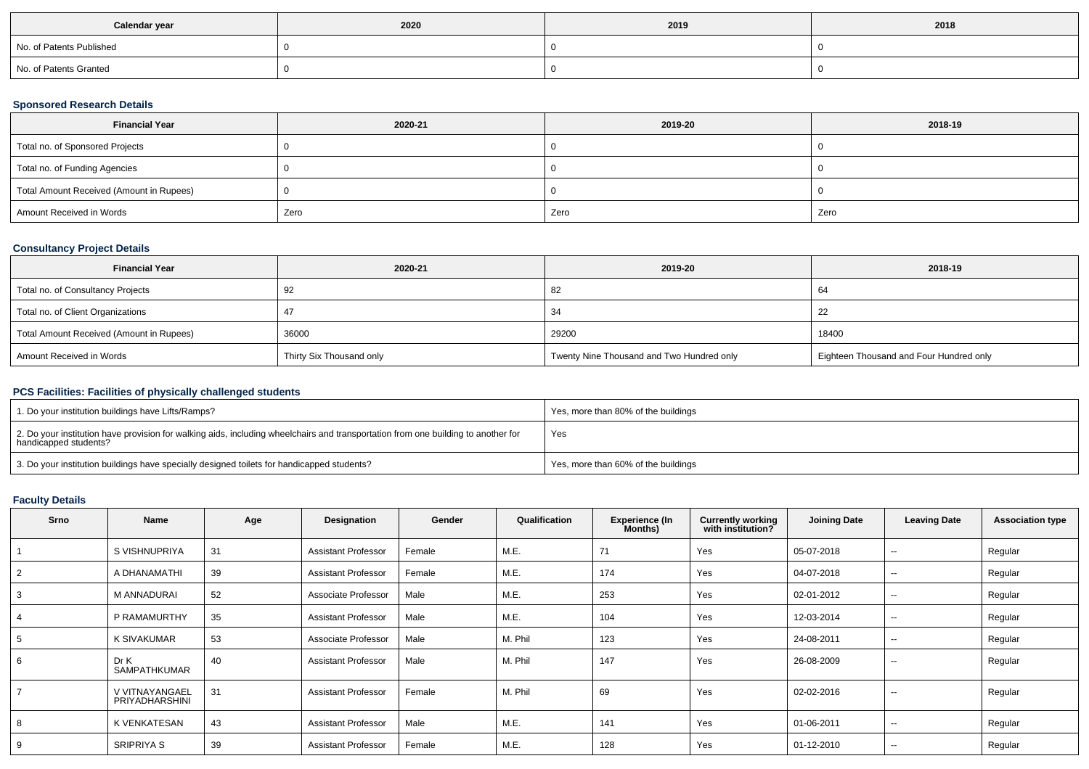| Calendar year            | 2020 | 2019 | 2018 |
|--------------------------|------|------|------|
| No. of Patents Published |      |      |      |
| No. of Patents Granted   |      |      |      |

# **Sponsored Research Details**

| <b>Financial Year</b>                    | 2020-21 | 2019-20 | 2018-19 |
|------------------------------------------|---------|---------|---------|
| Total no. of Sponsored Projects          |         |         |         |
| Total no. of Funding Agencies            |         |         |         |
| Total Amount Received (Amount in Rupees) |         |         |         |
| Amount Received in Words                 | Zero    | Zero    | Zero    |

# **Consultancy Project Details**

| <b>Financial Year</b>                    | 2020-21                  | 2019-20                                   | 2018-19                                 |
|------------------------------------------|--------------------------|-------------------------------------------|-----------------------------------------|
| Total no. of Consultancy Projects        | 92                       | -82                                       | -64                                     |
| Total no. of Client Organizations        |                          | 34                                        | -22                                     |
| Total Amount Received (Amount in Rupees) | 36000                    | 29200                                     | 18400                                   |
| Amount Received in Words                 | Thirty Six Thousand only | Twenty Nine Thousand and Two Hundred only | Eighteen Thousand and Four Hundred only |

# **PCS Facilities: Facilities of physically challenged students**

| 1. Do your institution buildings have Lifts/Ramps?                                                                                                         | Yes, more than 80% of the buildings |
|------------------------------------------------------------------------------------------------------------------------------------------------------------|-------------------------------------|
| 2. Do your institution have provision for walking aids, including wheelchairs and transportation from one building to another for<br>handicapped students? | Yes                                 |
| 3. Do your institution buildings have specially designed toilets for handicapped students?                                                                 | Yes, more than 60% of the buildings |

# **Faculty Details**

| <b>Srno</b> | Name                             | Age | Designation                | Gender | Qualification | <b>Experience (In</b><br>Months) | <b>Currently working</b><br>with institution? | <b>Joining Date</b> | <b>Leaving Date</b>      | <b>Association type</b> |
|-------------|----------------------------------|-----|----------------------------|--------|---------------|----------------------------------|-----------------------------------------------|---------------------|--------------------------|-------------------------|
|             | S VISHNUPRIYA                    | 31  | <b>Assistant Professor</b> | Female | M.E.          | 71                               | Yes                                           | 05-07-2018          | $\sim$                   | Regular                 |
|             | A DHANAMATHI                     | 39  | <b>Assistant Professor</b> | Female | M.E.          | 174                              | Yes                                           | 04-07-2018          | $\sim$                   | Regular                 |
|             | <b>M ANNADURAI</b>               | 52  | Associate Professor        | Male   | M.E.          | 253                              | Yes                                           | 02-01-2012          | $\sim$                   | Regular                 |
|             | P RAMAMURTHY                     | 35  | <b>Assistant Professor</b> | Male   | M.E.          | 104                              | Yes                                           | 12-03-2014          | $\sim$                   | Regular                 |
|             | <b>K SIVAKUMAR</b>               | 53  | Associate Professor        | Male   | M. Phil       | 123                              | Yes                                           | 24-08-2011          | $\sim$                   | Regular                 |
| 6           | Dr K<br>SAMPATHKUMAR             | 40  | <b>Assistant Professor</b> | Male   | M. Phil       | 147                              | Yes                                           | 26-08-2009          | $\overline{\phantom{a}}$ | Regular                 |
|             | V VITNAYANGAEL<br>PRIYADHARSHINI | 31  | <b>Assistant Professor</b> | Female | M. Phil       | 69                               | Yes                                           | 02-02-2016          | $\sim$                   | Regular                 |
|             | K VENKATESAN                     | 43  | <b>Assistant Professor</b> | Male   | M.E.          | 141                              | Yes                                           | 01-06-2011          | $\overline{\phantom{a}}$ | Regular                 |
| 9           | SRIPRIYA S                       | 39  | <b>Assistant Professor</b> | Female | M.E.          | 128                              | Yes                                           | 01-12-2010          | $\overline{\phantom{a}}$ | Regular                 |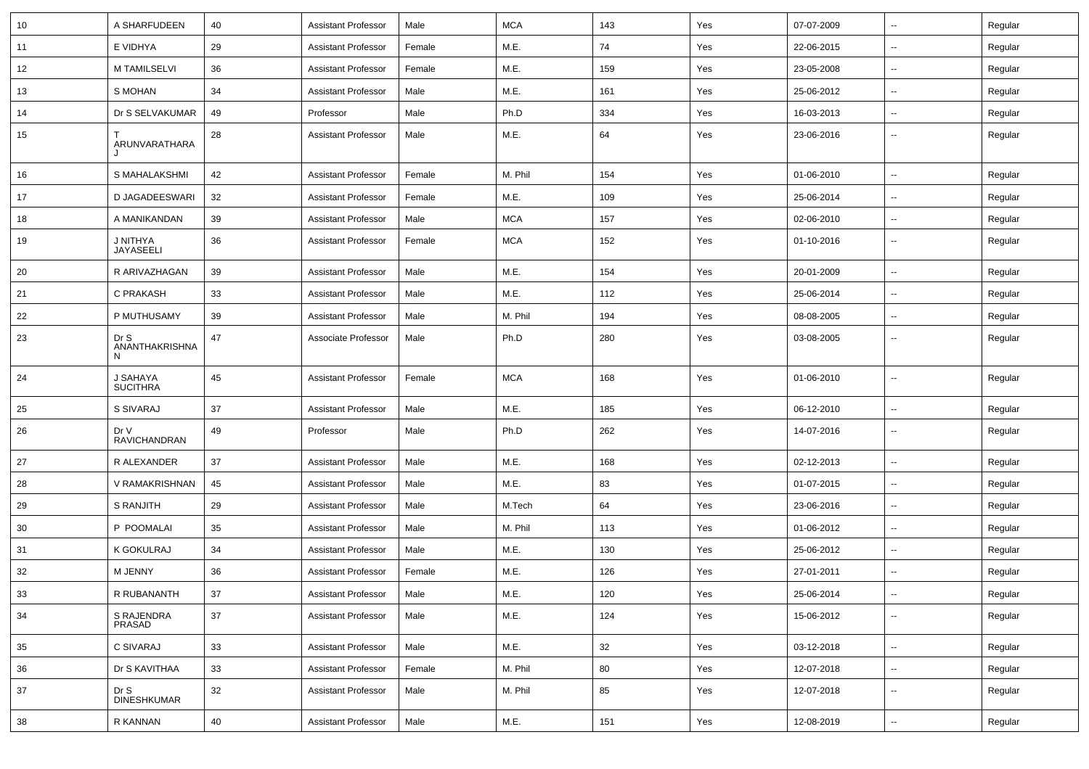| 10 | A SHARFUDEEN                | 40     | <b>Assistant Professor</b> | Male   | <b>MCA</b> | 143 | Yes | 07-07-2009 | Щ,                       | Regular |
|----|-----------------------------|--------|----------------------------|--------|------------|-----|-----|------------|--------------------------|---------|
| 11 | E VIDHYA                    | 29     | <b>Assistant Professor</b> | Female | M.E.       | 74  | Yes | 22-06-2015 | Щ,                       | Regular |
| 12 | M TAMILSELVI                | 36     | <b>Assistant Professor</b> | Female | M.E.       | 159 | Yes | 23-05-2008 | $\overline{\phantom{a}}$ | Regular |
| 13 | S MOHAN                     | 34     | <b>Assistant Professor</b> | Male   | M.E.       | 161 | Yes | 25-06-2012 | $\overline{\phantom{a}}$ | Regular |
| 14 | Dr S SELVAKUMAR             | 49     | Professor                  | Male   | Ph.D       | 334 | Yes | 16-03-2013 | Щ,                       | Regular |
| 15 | ARUNVARATHARA<br>J          | 28     | <b>Assistant Professor</b> | Male   | M.E.       | 64  | Yes | 23-06-2016 | $\overline{\phantom{a}}$ | Regular |
| 16 | S MAHALAKSHMI               | 42     | <b>Assistant Professor</b> | Female | M. Phil    | 154 | Yes | 01-06-2010 | Ц.                       | Regular |
| 17 | D JAGADEESWARI              | 32     | <b>Assistant Professor</b> | Female | M.E.       | 109 | Yes | 25-06-2014 | Щ,                       | Regular |
| 18 | A MANIKANDAN                | 39     | <b>Assistant Professor</b> | Male   | <b>MCA</b> | 157 | Yes | 02-06-2010 | ₩,                       | Regular |
| 19 | J NITHYA<br>JAYASEELI       | 36     | <b>Assistant Professor</b> | Female | <b>MCA</b> | 152 | Yes | 01-10-2016 | Щ,                       | Regular |
| 20 | R ARIVAZHAGAN               | 39     | <b>Assistant Professor</b> | Male   | M.E.       | 154 | Yes | 20-01-2009 | $\overline{\phantom{a}}$ | Regular |
| 21 | C PRAKASH                   | 33     | <b>Assistant Professor</b> | Male   | M.E.       | 112 | Yes | 25-06-2014 | Щ,                       | Regular |
| 22 | P MUTHUSAMY                 | 39     | <b>Assistant Professor</b> | Male   | M. Phil    | 194 | Yes | 08-08-2005 | $\overline{\phantom{a}}$ | Regular |
| 23 | Dr S<br>ANANTHAKRISHNA<br>N | 47     | Associate Professor        | Male   | Ph.D       | 280 | Yes | 03-08-2005 | --                       | Regular |
| 24 | J SAHAYA<br><b>SUCITHRA</b> | 45     | <b>Assistant Professor</b> | Female | <b>MCA</b> | 168 | Yes | 01-06-2010 | $\overline{\phantom{a}}$ | Regular |
| 25 | S SIVARAJ                   | 37     | <b>Assistant Professor</b> | Male   | M.E.       | 185 | Yes | 06-12-2010 | Щ,                       | Regular |
| 26 | Dr V<br>RAVICHANDRAN        | 49     | Professor                  | Male   | Ph.D       | 262 | Yes | 14-07-2016 | Щ,                       | Regular |
| 27 | R ALEXANDER                 | 37     | <b>Assistant Professor</b> | Male   | M.E.       | 168 | Yes | 02-12-2013 | Щ,                       | Regular |
| 28 | V RAMAKRISHNAN              | 45     | <b>Assistant Professor</b> | Male   | M.E.       | 83  | Yes | 01-07-2015 | Щ,                       | Regular |
| 29 | S RANJITH                   | 29     | <b>Assistant Professor</b> | Male   | M.Tech     | 64  | Yes | 23-06-2016 | $\sim$                   | Regular |
| 30 | P POOMALAI                  | 35     | Assistant Professor        | Male   | M. Phil    | 113 | Yes | 01-06-2012 | Щ,                       | Regular |
| 31 | K GOKULRAJ                  | 34     | <b>Assistant Professor</b> | Male   | M.E.       | 130 | Yes | 25-06-2012 | $\overline{\phantom{a}}$ | Regular |
| 32 | M JENNY                     | 36     | <b>Assistant Professor</b> | Female | M.E.       | 126 | Yes | 27-01-2011 | Щ,                       | Regular |
| 33 | R RUBANANTH                 | $37\,$ | <b>Assistant Professor</b> | Male   | M.E.       | 120 | Yes | 25-06-2014 |                          | Regular |
| 34 | S RAJENDRA<br>PRASAD        | 37     | <b>Assistant Professor</b> | Male   | M.E.       | 124 | Yes | 15-06-2012 | Ξ.                       | Regular |
| 35 | C SIVARAJ                   | 33     | Assistant Professor        | Male   | M.E.       | 32  | Yes | 03-12-2018 | $\overline{\phantom{a}}$ | Regular |
| 36 | Dr S KAVITHAA               | 33     | <b>Assistant Professor</b> | Female | M. Phil    | 80  | Yes | 12-07-2018 | н.                       | Regular |
| 37 | Dr S<br>DINESHKUMAR         | $32\,$ | <b>Assistant Professor</b> | Male   | M. Phil    | 85  | Yes | 12-07-2018 | Ξ.                       | Regular |
| 38 | R KANNAN                    | 40     | <b>Assistant Professor</b> | Male   | M.E.       | 151 | Yes | 12-08-2019 | ÷                        | Regular |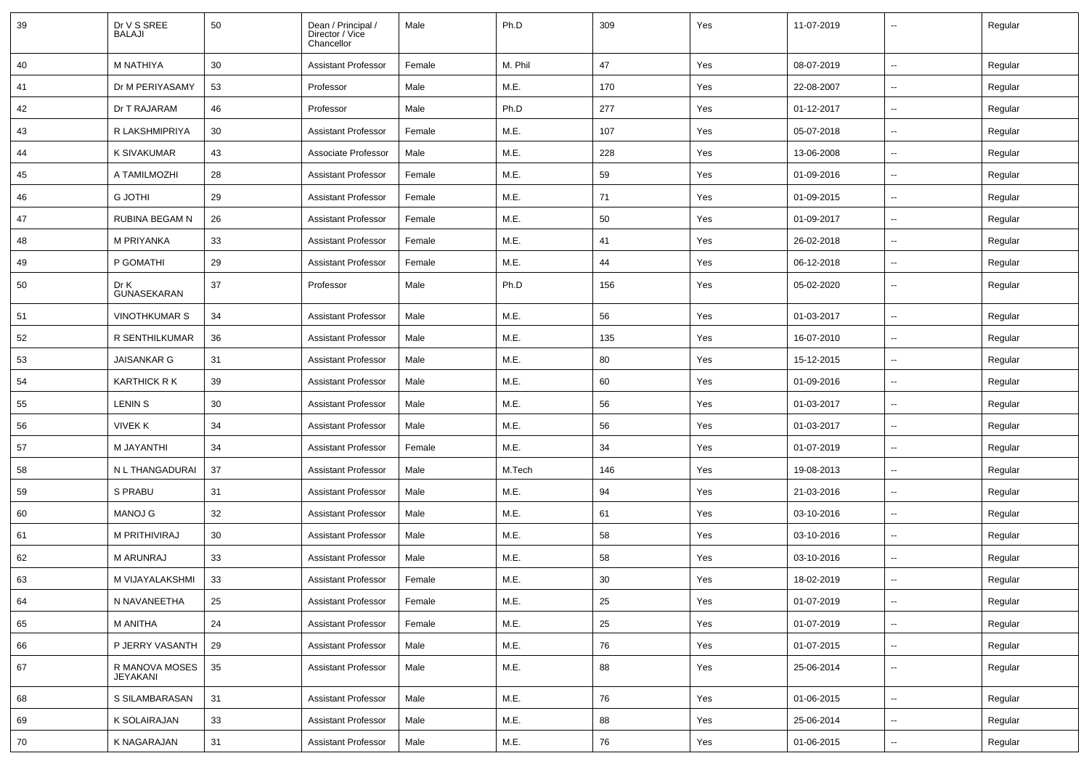| 39 | Dr V S SREE<br>BALAJI      | 50 | Dean / Principal /<br>Director / Vice<br>Chancellor | Male   | Ph.D    | 309 | Yes | 11-07-2019 | --                       | Regular |
|----|----------------------------|----|-----------------------------------------------------|--------|---------|-----|-----|------------|--------------------------|---------|
| 40 | M NATHIYA                  | 30 | <b>Assistant Professor</b>                          | Female | M. Phil | 47  | Yes | 08-07-2019 | $\overline{\phantom{a}}$ | Regular |
| 41 | Dr M PERIYASAMY            | 53 | Professor                                           | Male   | M.E.    | 170 | Yes | 22-08-2007 | $\overline{\phantom{a}}$ | Regular |
| 42 | Dr T RAJARAM               | 46 | Professor                                           | Male   | Ph.D    | 277 | Yes | 01-12-2017 | --                       | Regular |
| 43 | R LAKSHMIPRIYA             | 30 | <b>Assistant Professor</b>                          | Female | M.E.    | 107 | Yes | 05-07-2018 | $\overline{\phantom{a}}$ | Regular |
| 44 | K SIVAKUMAR                | 43 | Associate Professor                                 | Male   | M.E.    | 228 | Yes | 13-06-2008 | --                       | Regular |
| 45 | A TAMILMOZHI               | 28 | <b>Assistant Professor</b>                          | Female | M.E.    | 59  | Yes | 01-09-2016 | --                       | Regular |
| 46 | <b>G JOTHI</b>             | 29 | <b>Assistant Professor</b>                          | Female | M.E.    | 71  | Yes | 01-09-2015 | ⊷.                       | Regular |
| 47 | <b>RUBINA BEGAM N</b>      | 26 | <b>Assistant Professor</b>                          | Female | M.E.    | 50  | Yes | 01-09-2017 | $\overline{\phantom{a}}$ | Regular |
| 48 | M PRIYANKA                 | 33 | <b>Assistant Professor</b>                          | Female | M.E.    | 41  | Yes | 26-02-2018 | --                       | Regular |
| 49 | P GOMATHI                  | 29 | <b>Assistant Professor</b>                          | Female | M.E.    | 44  | Yes | 06-12-2018 | --                       | Regular |
| 50 | Dr K<br><b>GUNASEKARAN</b> | 37 | Professor                                           | Male   | Ph.D    | 156 | Yes | 05-02-2020 | -−                       | Regular |
| 51 | <b>VINOTHKUMAR S</b>       | 34 | <b>Assistant Professor</b>                          | Male   | M.E.    | 56  | Yes | 01-03-2017 | $\overline{\phantom{a}}$ | Regular |
| 52 | R SENTHILKUMAR             | 36 | <b>Assistant Professor</b>                          | Male   | M.E.    | 135 | Yes | 16-07-2010 |                          | Regular |
| 53 | <b>JAISANKAR G</b>         | 31 | <b>Assistant Professor</b>                          | Male   | M.E.    | 80  | Yes | 15-12-2015 | $\overline{\phantom{a}}$ | Regular |
| 54 | <b>KARTHICK R K</b>        | 39 | <b>Assistant Professor</b>                          | Male   | M.E.    | 60  | Yes | 01-09-2016 | $\overline{\phantom{a}}$ | Regular |
| 55 | <b>LENIN S</b>             | 30 | <b>Assistant Professor</b>                          | Male   | M.E.    | 56  | Yes | 01-03-2017 | н.                       | Regular |
| 56 | <b>VIVEK K</b>             | 34 | <b>Assistant Professor</b>                          | Male   | M.E.    | 56  | Yes | 01-03-2017 | $\overline{\phantom{a}}$ | Regular |
| 57 | M JAYANTHI                 | 34 | <b>Assistant Professor</b>                          | Female | M.E.    | 34  | Yes | 01-07-2019 | $\overline{\phantom{a}}$ | Regular |
| 58 | N L THANGADURAI            | 37 | <b>Assistant Professor</b>                          | Male   | M.Tech  | 146 | Yes | 19-08-2013 |                          | Regular |
| 59 | S PRABU                    | 31 | <b>Assistant Professor</b>                          | Male   | M.E.    | 94  | Yes | 21-03-2016 | $-$                      | Regular |
| 60 | <b>MANOJ G</b>             | 32 | <b>Assistant Professor</b>                          | Male   | M.E.    | 61  | Yes | 03-10-2016 | $\overline{\phantom{a}}$ | Regular |
| 61 | M PRITHIVIRAJ              | 30 | <b>Assistant Professor</b>                          | Male   | M.E.    | 58  | Yes | 03-10-2016 | --                       | Regular |
| 62 | <b>M ARUNRAJ</b>           | 33 | <b>Assistant Professor</b>                          | Male   | M.E.    | 58  | Yes | 03-10-2016 | $\overline{\phantom{a}}$ | Regular |
| 63 | M VIJAYALAKSHMI            | 33 | <b>Assistant Professor</b>                          | Female | M.E.    | 30  | Yes | 18-02-2019 |                          | Regular |
| 64 | N NAVANEETHA               | 25 | <b>Assistant Professor</b>                          | Female | M.E.    | 25  | Yes | 01-07-2019 | $\sim$                   | Regular |
| 65 | M ANITHA                   | 24 | <b>Assistant Professor</b>                          | Female | M.E.    | 25  | Yes | 01-07-2019 | Щ,                       | Regular |
| 66 | P JERRY VASANTH            | 29 | <b>Assistant Professor</b>                          | Male   | M.E.    | 76  | Yes | 01-07-2015 | Щ,                       | Regular |
| 67 | R MANOVA MOSES<br>JEYAKANI | 35 | <b>Assistant Professor</b>                          | Male   | M.E.    | 88  | Yes | 25-06-2014 | ⊶.                       | Regular |
| 68 | S SILAMBARASAN             | 31 | Assistant Professor                                 | Male   | M.E.    | 76  | Yes | 01-06-2015 | Щ,                       | Regular |
| 69 | K SOLAIRAJAN               | 33 | <b>Assistant Professor</b>                          | Male   | M.E.    | 88  | Yes | 25-06-2014 | $\overline{\phantom{a}}$ | Regular |
| 70 | K NAGARAJAN                | 31 | <b>Assistant Professor</b>                          | Male   | M.E.    | 76  | Yes | 01-06-2015 | ⊷                        | Regular |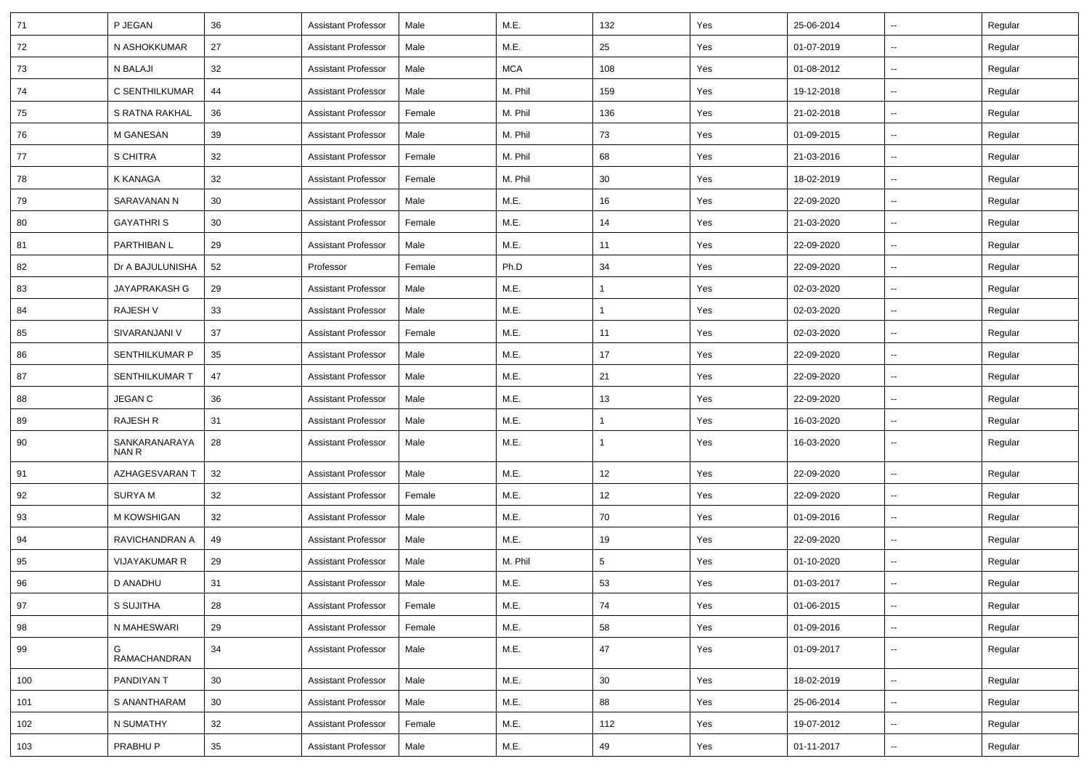| 71  | P JEGAN                | 36 | <b>Assistant Professor</b> | Male   | M.E.       | 132          | Yes | 25-06-2014 | $\overline{\phantom{a}}$ | Regular |
|-----|------------------------|----|----------------------------|--------|------------|--------------|-----|------------|--------------------------|---------|
| 72  | N ASHOKKUMAR           | 27 | <b>Assistant Professor</b> | Male   | M.E.       | 25           | Yes | 01-07-2019 | $\sim$                   | Regular |
| 73  | N BALAJI               | 32 | <b>Assistant Professor</b> | Male   | <b>MCA</b> | 108          | Yes | 01-08-2012 | --                       | Regular |
| 74  | C SENTHILKUMAR         | 44 | <b>Assistant Professor</b> | Male   | M. Phil    | 159          | Yes | 19-12-2018 | $\overline{\phantom{a}}$ | Regular |
| 75  | S RATNA RAKHAL         | 36 | <b>Assistant Professor</b> | Female | M. Phil    | 136          | Yes | 21-02-2018 | $\overline{\phantom{a}}$ | Regular |
| 76  | M GANESAN              | 39 | <b>Assistant Professor</b> | Male   | M. Phil    | 73           | Yes | 01-09-2015 | $\overline{\phantom{a}}$ | Regular |
| 77  | S CHITRA               | 32 | <b>Assistant Professor</b> | Female | M. Phil    | 68           | Yes | 21-03-2016 | $\sim$                   | Regular |
| 78  | K KANAGA               | 32 | <b>Assistant Professor</b> | Female | M. Phil    | 30           | Yes | 18-02-2019 | ⊷.                       | Regular |
| 79  | SARAVANAN N            | 30 | <b>Assistant Professor</b> | Male   | M.E.       | 16           | Yes | 22-09-2020 | --                       | Regular |
| 80  | <b>GAYATHRIS</b>       | 30 | <b>Assistant Professor</b> | Female | M.E.       | 14           | Yes | 21-03-2020 | $\overline{\phantom{a}}$ | Regular |
| 81  | PARTHIBAN L            | 29 | <b>Assistant Professor</b> | Male   | M.E.       | 11           | Yes | 22-09-2020 | $\overline{\phantom{a}}$ | Regular |
| 82  | Dr A BAJULUNISHA       | 52 | Professor                  | Female | Ph.D       | 34           | Yes | 22-09-2020 | $\overline{\phantom{a}}$ | Regular |
| 83  | JAYAPRAKASH G          | 29 | <b>Assistant Professor</b> | Male   | M.E.       | $\mathbf{1}$ | Yes | 02-03-2020 | $\overline{\phantom{a}}$ | Regular |
| 84  | RAJESH V               | 33 | <b>Assistant Professor</b> | Male   | M.E.       | $\mathbf{1}$ | Yes | 02-03-2020 | ⊷.                       | Regular |
| 85  | SIVARANJANI V          | 37 | <b>Assistant Professor</b> | Female | M.E.       | 11           | Yes | 02-03-2020 | -−                       | Regular |
| 86  | <b>SENTHILKUMAR P</b>  | 35 | <b>Assistant Professor</b> | Male   | M.E.       | 17           | Yes | 22-09-2020 | ⊷.                       | Regular |
| 87  | SENTHILKUMAR T         | 47 | <b>Assistant Professor</b> | Male   | M.E.       | 21           | Yes | 22-09-2020 | $\overline{\phantom{a}}$ | Regular |
| 88  | <b>JEGAN C</b>         | 36 | <b>Assistant Professor</b> | Male   | M.E.       | 13           | Yes | 22-09-2020 | $\overline{\phantom{a}}$ | Regular |
| 89  | <b>RAJESH R</b>        | 31 | <b>Assistant Professor</b> | Male   | M.E.       | $\mathbf{1}$ | Yes | 16-03-2020 | Ξ.                       | Regular |
| 90  | SANKARANARAYA<br>NAN R | 28 | <b>Assistant Professor</b> | Male   | M.E.       | $\mathbf{1}$ | Yes | 16-03-2020 | н.                       | Regular |
| 91  | AZHAGESVARAN T         | 32 | <b>Assistant Professor</b> | Male   | M.E.       | 12           | Yes | 22-09-2020 | $\overline{\phantom{a}}$ | Regular |
| 92  | <b>SURYAM</b>          | 32 | <b>Assistant Professor</b> | Female | M.E.       | 12           | Yes | 22-09-2020 | ⊷.                       | Regular |
| 93  | M KOWSHIGAN            | 32 | <b>Assistant Professor</b> | Male   | M.E.       | 70           | Yes | 01-09-2016 | -−                       | Regular |
| 94  | RAVICHANDRAN A         | 49 | <b>Assistant Professor</b> | Male   | M.E.       | 19           | Yes | 22-09-2020 | $\overline{\phantom{a}}$ | Regular |
| 95  | <b>VIJAYAKUMAR R</b>   | 29 | <b>Assistant Professor</b> | Male   | M. Phil    | $\sqrt{5}$   | Yes | 01-10-2020 | --                       | Regular |
| 96  | D ANADHU               | 31 | <b>Assistant Professor</b> | Male   | M.E.       | 53           | Yes | 01-03-2017 | $\overline{\phantom{a}}$ | Regular |
| 97  | S SUJITHA              | 28 | <b>Assistant Professor</b> | Female | M.E.       | 74           | Yes | 01-06-2015 | $\sim$                   | Regular |
| 98  | N MAHESWARI            | 29 | <b>Assistant Professor</b> | Female | M.E.       | 58           | Yes | 01-09-2016 | $\sim$                   | Regular |
| 99  | G<br>RAMACHANDRAN      | 34 | <b>Assistant Professor</b> | Male   | M.E.       | 47           | Yes | 01-09-2017 | −−                       | Regular |
| 100 | PANDIYAN T             | 30 | <b>Assistant Professor</b> | Male   | M.E.       | 30           | Yes | 18-02-2019 | н.                       | Regular |
| 101 | S ANANTHARAM           | 30 | <b>Assistant Professor</b> | Male   | M.E.       | 88           | Yes | 25-06-2014 | $\overline{\phantom{a}}$ | Regular |
| 102 | N SUMATHY              | 32 | <b>Assistant Professor</b> | Female | M.E.       | 112          | Yes | 19-07-2012 | Ξ.                       | Regular |
| 103 | PRABHU P               | 35 | <b>Assistant Professor</b> | Male   | M.E.       | 49           | Yes | 01-11-2017 | щ.                       | Regular |